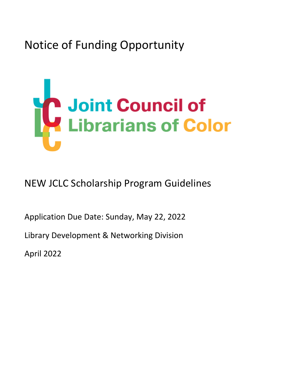Notice of Funding Opportunity

# **Joint Council of**<br>**Librarians of Color**

NEW JCLC Scholarship Program Guidelines

Application Due Date: Sunday, May 22, 2022

Library Development & Networking Division

April 2022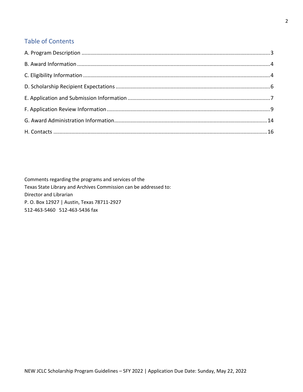# Table of Contents

Comments regarding the programs and services of the Texas State Library and Archives Commission can be addressed to: Director and Librarian P. O. Box 12927 | Austin, Texas 78711-2927 512-463-5460 512-463-5436 fax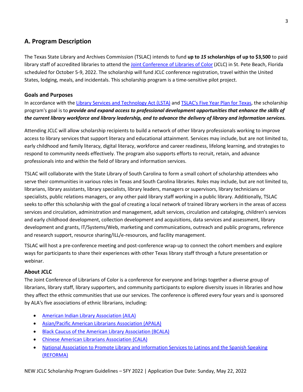# <span id="page-2-0"></span>**A. Program Description**

The Texas State Library and Archives Commission (TSLAC) intends to fund **up to** *15* **scholarships of up to \$3,500** to paid library staff of accredited libraries to attend th[e Joint Conference of Libraries of](https://www.jclcinc.org/conference/2022/) Color (JCLC) in St. Pete Beach, Florida scheduled for October 5-9, 2022. The scholarship will fund JCLC conference registration, travel within the United States, lodging, meals, and incidentals. This scholarship program is a time-sensitive pilot project.

#### **Goals and Purposes**

In accordance with the [Library Services and Technology Act \(LSTA\)](https://www.tsl.texas.gov/ld/pubs/lstaplan/5yearplan.html) and [TSLAC's Five Year Plan for Texas,](https://www.tsl.texas.gov/sites/default/files/public/tslac/ld/pubs/lstaplan/LSTA%202018-2022-final%20plan%20FINAL.pdf) the scholarship program's goal is to *provide and expand access to professional development opportunities that enhance the skills of the current library workforce and library leadership, and to advance the delivery of library and information services.*

Attending JCLC will allow scholarship recipients to build a network of other library professionals working to improve access to library services that support literacy and educational attainment. Services may include, but are not limited to, early childhood and family literacy, digital literacy, workforce and career readiness, lifelong learning, and strategies to respond to community needs effectively. The program also supports efforts to recruit, retain, and advance professionals into and within the field of library and information services.

TSLAC will collaborate with the State Library of South Carolina to form a small cohort of scholarship attendees who serve their communities in various roles in Texas and South Carolina libraries. Roles may include, but are not limited to, librarians, library assistants, library specialists, library leaders, managers or supervisors, library technicians or specialists, public relations managers, or any other paid library staff working in a public library. Additionally, TSLAC seeks to offer this scholarship with the goal of creating a local network of trained library workers in the areas of access services and circulation, administration and management, adult services, circulation and cataloging, children's services and early childhood development, collection development and acquisitions, data services and assessment, library development and grants, IT/Systems/Web, marketing and communications, outreach and public programs, reference and research support, resource sharing/ILL/e-resources, and facility management.

TSLAC will host a pre-conference meeting and post-conference wrap-up to connect the cohort members and explore ways for participants to share their experiences with other Texas library staff through a future presentation or webinar.

#### **About JCLC**

The Joint Conference of Librarians of Color is a conference for everyone and brings together a diverse group of librarians, library staff, library supporters, and community participants to explore diversity issues in libraries and how they affect the ethnic communities that use our services. The conference is offered every four years and is sponsored by ALA's five associations of ethnic librarians, including:

- [American Indian Library Association \(AILA\)](https://ailanet.org/)
- [Asian/Pacific American Librarians Association \(APALA\)](https://www.apalaweb.org/)
- Black [Caucus of the American Library Association \(BCALA\)](https://www.bcala.org/)
- [Chinese American Librarians](https://www.cala-web.org/) Association (CALA)
- [National Association to Promote Library and Information Services to Latinos and the Spanish Speaking](https://www.reforma.org/)  [\(REFORMA\)](https://www.reforma.org/)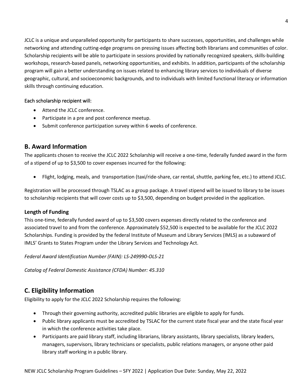JCLC is a unique and unparalleled opportunity for participants to share successes, opportunities, and challenges while networking and attending cutting-edge programs on pressing issues affecting both librarians and communities of color. Scholarship recipients will be able to participate in sessions provided by nationally recognized speakers, skills-building workshops, research-based panels, networking opportunities, and exhibits. In addition, participants of the scholarship program will gain a better understanding on issues related to enhancing library services to individuals of diverse geographic, cultural, and socioeconomic backgrounds, and to individuals with limited functional literacy or information skills through continuing education.

#### Each scholarship recipient will:

- Attend the JCLC conference.
- Participate in a pre and post conference meetup.
- Submit conference participation survey within 6 weeks of conference.

# <span id="page-3-0"></span>**B. Award Information**

The applicants chosen to receive the JCLC 2022 Scholarship will receive a one-time, federally funded award in the form of a stipend of up to \$3,500 to cover expenses incurred for the following:

• Flight, lodging, meals, and transportation (taxi/ride-share, car rental, shuttle, parking fee, etc.) to attend JCLC.

Registration will be processed through TSLAC as a group package. A travel stipend will be issued to library to be issues to scholarship recipients that will cover costs up to \$3,500, depending on budget provided in the application.

#### **Length of Funding**

This one-time, federally funded award of up to \$3,500 covers expenses directly related to the conference and associated travel to and from the conference. Approximately \$52,500 is expected to be available for the JCLC 2022 Scholarships. Funding is provided by the federal Institute of Museum and Library Services (IMLS) as a subaward of IMLS' Grants to States Program under the Library Services and Technology Act.

*Federal Award Identification Number (FAIN): LS-249990-OLS-21*

*Catalog of Federal Domestic Assistance (CFDA) Number: 45.310*

# <span id="page-3-1"></span>**C. Eligibility Information**

Eligibility to apply for the JCLC 2022 Scholarship requires the following:

- Through their governing authority, accredited public libraries are eligible to apply for funds.
- Public library applicants must be accredited by TSLAC for the current state fiscal year and the state fiscal year in which the conference activities take place.
- Participants are paid library staff, including librarians, library assistants, library specialists, library leaders, managers, supervisors, library technicians or specialists, public relations managers, or anyone other paid library staff working in a public library.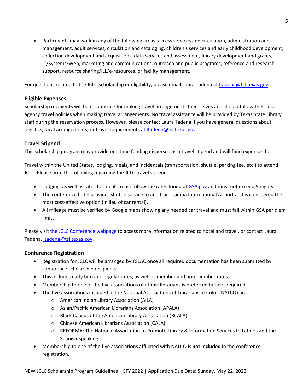• Participants may work in any of the following areas: access services and circulation, administration and management, adult services, circulation and cataloging, children's services and early childhood development, collection development and acquisitions, data services and assessment, library development and grants, IT/Systems/Web, marketing and communications, outreach and public programs, reference and research support, resource sharing/ILL/e-resources, or facility management.

For questions related to the JCLC Scholarship or eligibility, please email Laura Tadena a[t ltadena@tsl.texas.gov.](mailto:ltadena@tsl.texas.gov)

#### **Eligible Expenses**

Scholarship recipients will be responsible for making travel arrangements themselves and should follow their local agency travel policies when making travel arrangements. No travel assistance will be provided by Texas State Library staff during the reservation process. However, please contact Laura Tadena if you have general questions about logistics, local arrangements, or travel requirements at *ltadena@tsl.texas.gov.* 

#### **Travel Stipend**

This scholarship program may provide one time funding dispersed as a travel stipend and will fund expenses for:

Travel within the United States, lodging, meals, and incidentals (transportation, shuttle, parking fee, etc.) to attend JCLC. Please note the following regarding the JCLC travel stipend:

- Lodging, as well as rates for meals, must follow the rates found at [GSA.gov](https://www.gsa.gov/travel/plan-book/per-diem-rates) and must not exceed 5 nights.
- The conference hotel provides shuttle service to and from Tampa International Airport and is considered the most cost-effective option (in lieu of car rental).
- All mileage must be verified by Google maps showing any needed car travel and must fall within GSA per diem limits.

Please visit [the JCLC Conference](https://www.jclcinc.org/conference/2022/) webpage to access more information related to hotel and travel, or contact Laura Tadena, *ltadena@tsl.texas.gov.* 

#### **Conference Registration**

- Registration for JCLC will be arranged by TSLAC once all required documentation has been submitted by conference scholarship recipients.
- This includes early bird and regular rates, as well as member and non-member rates.
- Membership to one of the five associations of ethnic librarians is preferred but not required.
- The five associations included in the National Associations of Librarians of Color (NALCO) are:
	- o American Indian Library Association (AILA)
	- o Asian/Pacific American Librarians Association (APALA)
	- o Black Caucus of the American Library Association (BCALA)
	- o Chinese American Librarians Association (CALA)
	- o REFORMA: The National Association to Promote Library & Information Services to Latinos and the Spanish-speaking
- Membership to one of the five associations affiliated with NALCO is **not included** in the conference registration.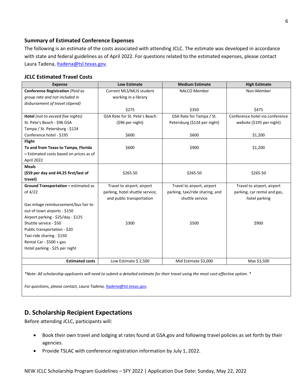#### **Summary of Estimated Conference Expenses**

The following is an estimate of the costs associated with attending JCLC. The estimate was developed in accordance with state and federal guidelines as of April 2022. For questions related to the estimated expenses, please contact Laura Tadena, *Itadena@tsl.texas.gov.* 

#### **JCLC Estimated Travel Costs**

| <b>Expense</b>                          | <b>Low Estimate</b>             | <b>Medium Estimate</b>          | <b>High Estimate</b>            |
|-----------------------------------------|---------------------------------|---------------------------------|---------------------------------|
| <b>Conference Registration (Paid as</b> | Current MLS/MLIS student        | <b>NALCO Member</b>             | Non-Member                      |
| group rate and not included in          | working in a library            |                                 |                                 |
| disbursement of travel stipend)         |                                 |                                 |                                 |
|                                         | \$275                           | \$350                           | \$475                           |
| Hotel (not to exceed five nights)       | GSA Rate for St. Pete's Beach   | GSA Rate for Tampa / St.        | Conference hotel via conference |
| St. Pete's Beach - \$96 GSA             | (\$96 per night)                | Petersburg (\$124 per night)    | website (\$195 per night)       |
| Tampa / St. Petersburg - \$124          |                                 |                                 |                                 |
| Conference hotel - \$195                | \$600                           | \$600                           | \$1,200                         |
| <b>Flight</b>                           |                                 |                                 |                                 |
| To and from Texas to Tampa, Florida     | \$600                           | \$900                           | \$1,200                         |
| - Estimated costs based on prices as of |                                 |                                 |                                 |
| April 2022                              |                                 |                                 |                                 |
| <b>Meals</b>                            |                                 |                                 |                                 |
| (\$59 per day and 44.25 first/last of   | \$265.50                        | \$265.50                        | \$265.50                        |
| travel)                                 |                                 |                                 |                                 |
| Ground Transportation - estimated as    | Travel to airport, airport      | Travel to airport, airport      | Travel to airport, airport      |
| of 4/22                                 | parking, hotel shuttle service, | parking, taxi/ride sharing, and | parking, car rental and gas,    |
|                                         | and public transportation       | shuttle service                 | hotel parking                   |
| Gas milage reimbursement/bus fair to    |                                 |                                 |                                 |
| out of town airports - \$150            |                                 |                                 |                                 |
| Airport parking - \$25/day - \$125      |                                 |                                 |                                 |
| Shuttle service - \$50                  | \$300                           | \$500                           | \$900                           |
| Public transportation - \$20            |                                 |                                 |                                 |
| Taxi-ride sharing - \$150               |                                 |                                 |                                 |
| Rental Car - $$500 + gas$               |                                 |                                 |                                 |
| Hotel parking - \$25 per night          |                                 |                                 |                                 |
|                                         |                                 |                                 |                                 |
| <b>Estimated costs</b>                  | Low Estimate \$2,500            | Mid Estimate \$3,000            | Max \$3,500                     |
|                                         |                                 |                                 |                                 |

*\*Note: All scholarship applicants will need to submit a detailed estimate for their travel using the most cost-effective option. \**

<span id="page-5-0"></span>*For questions, please contact, Laura Tadena, [ltadena@tsl.texas.gov.](mailto:ltadena@tsl.texas.gov)* 

# **D. Scholarship Recipient Expectations**

Before attending JCLC, participants will:

- Book their own travel and lodging at rates found at GSA.gov and following travel policies as set forth by their agencies.
- Provide TSLAC with conference registration information by July 1, 2022.

6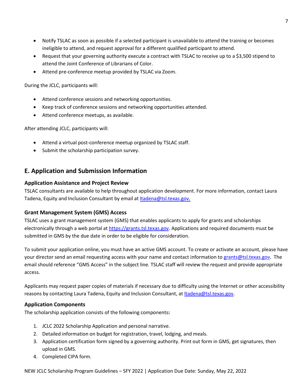- Notify TSLAC as soon as possible if a selected participant is unavailable to attend the training or becomes ineligible to attend, and request approval for a different qualified participant to attend.
- Request that your governing authority execute a contract with TSLAC to receive up to a \$3,500 stipend to attend the Joint Conference of Librarians of Color.
- Attend pre-conference meetup provided by TSLAC via Zoom.

During the JCLC, participants will:

- Attend conference sessions and networking opportunities.
- Keep track of conference sessions and networking opportunities attended.
- Attend conference meetups, as available.

After attending JCLC, participants will:

- Attend a virtual post-conference meetup organized by TSLAC staff.
- <span id="page-6-0"></span>• Submit the scholarship participation survey.

# **E. Application and Submission Information**

#### **Application Assistance and Project Review**

TSLAC consultants are available to help throughout application development. For more information, contact Laura Tadena, Equity and Inclusion Consultant by email at **Itadena@tsl.texas.gov.** 

#### **Grant Management System (GMS) Access**

TSLAC uses a grant management system (GMS) that enables applicants to apply for grants and scholarships electronically through a web portal at [https://grants.tsl.texas.gov.](https://grants.tsl.texas.gov/) Applications and required documents must be submitted in GMS by the due date in order to be eligible for consideration.

To submit your application online, you must have an active GMS account. To create or activate an account, please have your director send an email requesting access with your name and contact information to [grants@tsl.texas.gov.](mailto:grants@tsl.texas.gov) The email should reference "GMS Access" in the subject line. TSLAC staff will review the request and provide appropriate access.

Applicants may request paper copies of materials if necessary due to difficulty using the Internet or other accessibility reasons by contacting Laura Tadena, Equity and Inclusion Consultant, at **Itadena@tsl.texas.gov**.

#### **Application Components**

The scholarship application consists of the following components**:** 

- 1. JCLC 2022 Scholarship Application and personal narrative.
- 2. Detailed information on budget for registration, travel, lodging, and meals.
- 3. Application certification form signed by a governing authority. Print out form in GMS, get signatures, then upload in GMS.
- 4. Completed CIPA form.

NEW JCLC Scholarship Program Guidelines – SFY 2022 | Application Due Date: Sunday, May 22, 2022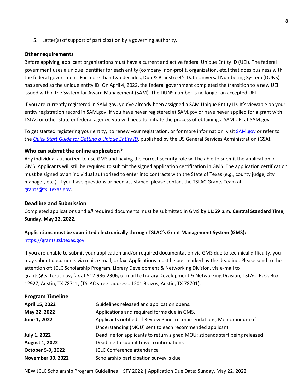5. Letter(s) of support of participation by a governing authority.

#### **Other requirements**

Before applying, applicant organizations must have a current and active federal Unique Entity ID (UEI). The federal government uses a unique identifier for each entity (company, non-profit, organization, etc.) that does business with the federal government. For more than two decades, Dun & Bradstreet's Data Universal Numbering System (DUNS) has served as the unique entity ID. On April 4, 2022, the federal government completed the transition to a new UEI issued within the System for Award Management (SAM). The DUNS number is no longer an accepted UEI.

If you are currently registered in SAM.gov, you've already been assigned a SAM Unique Entity ID. It's viewable on your entity registration record in SAM.gov. If you have never registered at SAM.gov or have never applied for a grant with TSLAC or other state or federal agency, you will need to initiate the process of obtaining a SAM UEI at SAM.gov.

To get started registering your entity, to renew your registration, or for more information, visit [SAM.gov](https://sam.gov/content/home) or refer to the *[Quick Start Guide for Getting a Unique Entity ID](https://www.msac.org/media/570/download?inline)*, published by the US General Services Administration (GSA).

#### **Who can submit the online application?**

Any individual authorized to use GMS and having the correct security role will be able to submit the application in GMS. Applicants will still be required to submit the signed application certification in GMS. The application certification must be signed by an individual authorized to enter into contracts with the State of Texas (e.g., county judge, city manager, etc.). If you have questions or need assistance, please contact the TSLAC Grants Team at [grants@tsl.texas.gov.](mailto:grants@tsl.texas.gov)

#### **Deadline and Submission**

Completed applications and *all* required documents must be submitted in GMS **by 11:59 p.m. Central Standard Time, Sunday, May 22, 2022.** 

## **Applications must be submitted electronically through TSLAC's Grant Management System (GMS):**  [https://grants.tsl.texas.gov.](https://grants.tsl.texas.gov/)

If you are unable to submit your application and/or required documentation via GMS due to technical difficulty, you may submit documents via mail, e-mail, or fax. Applications must be postmarked by the deadline. Please send to the attention of: JCLC Scholarship Program, Library Development & Networking Division, via e-mail to grants@tsl.texas.gov, fax at 512-936-2306, or mail to Library Development & Networking Division, TSLAC, P. O. Box 12927, Austin, TX 78711, (TSLAC street address: 1201 Brazos, Austin, TX 78701).

| <b>Program Timeline</b>  |                                                                             |
|--------------------------|-----------------------------------------------------------------------------|
| April 15, 2022           | Guidelines released and application opens.                                  |
| May 22, 2022             | Applications and required forms due in GMS.                                 |
| June 1, 2022             | Applicants notified of Review Panel recommendations, Memorandum of          |
|                          | Understanding (MOU) sent to each recommended applicant                      |
| July 1, 2022             | Deadline for applicants to return signed MOU; stipends start being released |
| <b>August 1, 2022</b>    | Deadline to submit travel confirmations                                     |
| October 5-9, 2022        | <b>JCLC Conference attendance</b>                                           |
| <b>November 30, 2022</b> | Scholarship participation survey is due                                     |

NEW JCLC Scholarship Program Guidelines – SFY 2022 | Application Due Date: Sunday, May 22, 2022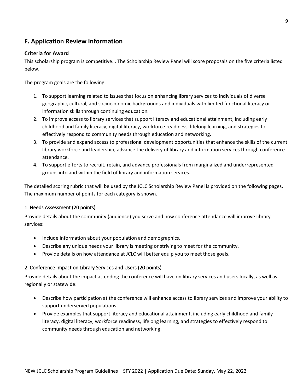# <span id="page-8-0"></span>**F. Application Review Information**

#### **Criteria for Award**

This scholarship program is competitive. . The Scholarship Review Panel will score proposals on the five criteria listed below.

The program goals are the following:

- 1. To support learning related to issues that focus on enhancing library services to individuals of diverse geographic, cultural, and socioeconomic backgrounds and individuals with limited functional literacy or information skills through continuing education.
- 2. To improve access to library services that support literacy and educational attainment, including early childhood and family literacy, digital literacy, workforce readiness, lifelong learning, and strategies to effectively respond to community needs through education and networking.
- 3. To provide and expand access to professional development opportunities that enhance the skills of the current library workforce and leadership, advance the delivery of library and information services through conference attendance.
- 4. To support efforts to recruit, retain, and advance professionals from marginalized and underrepresented groups into and within the field of library and information services.

The detailed scoring rubric that will be used by the JCLC Scholarship Review Panel is provided on the following pages. The maximum number of points for each category is shown.

#### 1. Needs Assessment (20 points)

Provide details about the community (audience) you serve and how conference attendance will improve library services:

- Include information about your population and demographics.
- Describe any unique needs your library is meeting or striving to meet for the community.
- Provide details on how attendance at JCLC will better equip you to meet those goals.

## 2. Conference Impact on Library Services and Users (20 points)

Provide details about the impact attending the conference will have on library services and users locally, as well as regionally or statewide:

- Describe how participation at the conference will enhance access to library services and improve your ability to support underserved populations.
- Provide examples that support literacy and educational attainment, including early childhood and family literacy, digital literacy, workforce readiness, lifelong learning, and strategies to effectively respond to community needs through education and networking.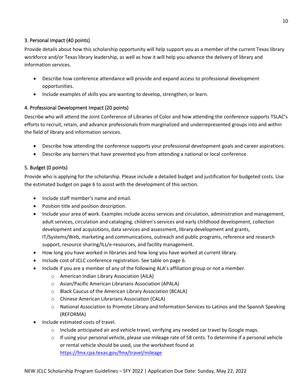## 3. Personal Impact (40 points)

Provide details about how this scholarship opportunity will help support you as a member of the current Texas library workforce and/or Texas library leadership, as well as how it will help you advance the delivery of library and information services.

- Describe how conference attendance will provide and expand access to professional development opportunities.
- Include examples of skills you are wanting to develop, strengthen, or learn.

## 4. Professional Development Impact (20 points)

Describe who will attend the Joint Conference of Libraries of Color and how attending the conference supports TSLAC's efforts to recruit, retain, and advance professionals from marginalized and underrepresented groups into and within the field of library and information services.

- Describe how attending the conference supports your professional development goals and career aspirations.
- Describe any barriers that have prevented you from attending a national or local conference.

## 5. Budget (0 points)

Provide who is applying for the scholarship. Please include a detailed budget and justification for budgeted costs. Use the estimated budget on page 6 to assist with the development of this section.

- Include staff member's name and email.
- Position title and position description.
- Include your area of work. Examples include access services and circulation, administration and management, adult services, circulation and cataloging, children's services and early childhood development, collection development and acquisitions, data services and assessment, library development and grants, IT/Systems/Web, marketing and communications, outreach and public programs, reference and research support, resource sharing/ILL/e-resources, and facility management.
- How long you have worked in libraries and how long you have worked at current library.
- Include cost of JCLC conference registration. See table on page 6.
- Include if you are a member of any of the following ALA's affiliation group or not a member.
	- o American Indian Library Association (AILA)
	- o Asian/Pacific American Librarians Association (APALA)
	- o Black Caucus of the American Library Association (BCALA)
	- o Chinese American Librarians Association (CALA)
	- o National Association to Promote Library and Information Services to Latinos and the Spanish Speaking (REFORMA)
- Include estimated costs of travel.
	- o Include anticipated air and vehicle travel, verifying any needed car travel by Google maps.
	- $\circ$  If using your personal vehicle, please use mileage rate of 58 cents. To determine if a personal vehicle or rental vehicle should be used, use the worksheet found at <https://fmx.cpa.texas.gov/fmx/travel/mileage>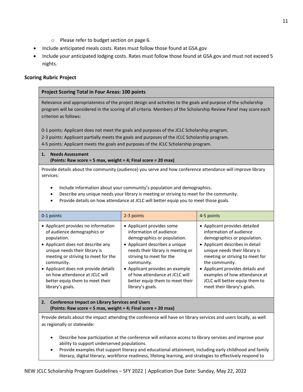- o Please refer to budget section on page 6.
- Include anticipated meals costs. Rates must follow those found at GSA.gov
- Include your anticipated lodging costs. Rates must follow those found at GSA.gov and must not exceed 5 nights.

#### **Scoring Rubric Project**

#### **Project Scoring Total in Four Areas: 100 points**

Relevance and appropriateness of the project design and activities to the goals and purpose of the scholarship program will be considered in the scoring of all criteria. Members of the Scholarship Review Panel may score each criterion as follows:

0-1 points: Applicant does not meet the goals and purposes of the JCLC Scholarship program.

2-3 points: Applicant partially meets the goals and purposes of the JCLC Scholarship program.

4-5 points: Applicant meets the goals and purposes of the JCLC Scholarship program.

# **1. Needs Assessment**

**(Points: Raw score = 5 max, weight = 4; Final score = 20 max)**

Provide details about the community (audience) you serve and how conference attendance will improve library services:

- Include information about your community's population and demographics.
- Describe any unique needs your library is meeting or striving to meet for the community.
- Provide details on how attendance at JCLC will better equip you to meet those goals.

| 0-1 points                                                                                                                                                                                                                                                                                                                                    | 2-3 points                                                                                                                                                                                                                                                                                                                       | 4-5 points                                                                                                                                                                                                                                                                                                                                             |
|-----------------------------------------------------------------------------------------------------------------------------------------------------------------------------------------------------------------------------------------------------------------------------------------------------------------------------------------------|----------------------------------------------------------------------------------------------------------------------------------------------------------------------------------------------------------------------------------------------------------------------------------------------------------------------------------|--------------------------------------------------------------------------------------------------------------------------------------------------------------------------------------------------------------------------------------------------------------------------------------------------------------------------------------------------------|
| • Applicant provides no information<br>of audience demographics or<br>population.<br>• Applicant does not describe any<br>unique needs their library is<br>meeting or striving to meet for the<br>community.<br>• Applicant does not provide details<br>on how attendance at JCLC will<br>better equip them to meet their<br>library's goals. | • Applicant provides some<br>information of audience<br>demographics or population.<br>• Applicant describes a unique<br>needs their library is meeting or<br>striving to meet for the<br>community.<br>• Applicant provides an example<br>of how attendance at JCLC will<br>better equip them to meet their<br>library's goals. | • Applicant provides detailed<br>information of audience<br>demographics or population.<br>• Applicant describes in detail<br>unique needs their library is<br>meeting or striving to meet for<br>the community.<br>• Applicant provides details and<br>examples of how attendance at<br>JCLC will better equip them to<br>meet their library's goals. |
| <b>Conference Impact on Library Services and Users</b><br>2.<br>(Points: Raw score = 5 max, weight = 4; Final score = 20 max)                                                                                                                                                                                                                 |                                                                                                                                                                                                                                                                                                                                  |                                                                                                                                                                                                                                                                                                                                                        |
| Provide details about the impact attending the conference will have on library services and users locally, as well<br>as regionally or statewide:                                                                                                                                                                                             |                                                                                                                                                                                                                                                                                                                                  |                                                                                                                                                                                                                                                                                                                                                        |

- Describe how participation at the conference will enhance access to library services and improve your ability to support underserved populations.
- Provide examples that support literacy and educational attainment, including early childhood and family literacy, digital literacy, workforce readiness, lifelong learning, and strategies to effectively respond to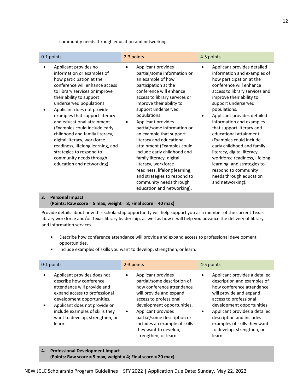| community needs through education and networking.                                                                                                                                                                                                                                                                                                                                                                                                                                                                                     |                                                                                                                                                                                                                                                                                                                                                                                                                                                                                                                                                                                                               |                                                                                                                                                                                                                                                                                                                                                                                                                                                                                                                                                                                                   |  |
|---------------------------------------------------------------------------------------------------------------------------------------------------------------------------------------------------------------------------------------------------------------------------------------------------------------------------------------------------------------------------------------------------------------------------------------------------------------------------------------------------------------------------------------|---------------------------------------------------------------------------------------------------------------------------------------------------------------------------------------------------------------------------------------------------------------------------------------------------------------------------------------------------------------------------------------------------------------------------------------------------------------------------------------------------------------------------------------------------------------------------------------------------------------|---------------------------------------------------------------------------------------------------------------------------------------------------------------------------------------------------------------------------------------------------------------------------------------------------------------------------------------------------------------------------------------------------------------------------------------------------------------------------------------------------------------------------------------------------------------------------------------------------|--|
| 0-1 points                                                                                                                                                                                                                                                                                                                                                                                                                                                                                                                            | 2-3 points                                                                                                                                                                                                                                                                                                                                                                                                                                                                                                                                                                                                    | 4-5 points                                                                                                                                                                                                                                                                                                                                                                                                                                                                                                                                                                                        |  |
| Applicant provides no<br>information or examples of<br>how participation at the<br>conference will enhance access<br>to library services or improve<br>their ability to support<br>underserved populations.<br>Applicant does not provide<br>examples that support literacy<br>and educational attainment<br>(Examples could include early<br>childhood and family literacy,<br>digital literacy, workforce<br>readiness, lifelong learning, and<br>strategies to respond to<br>community needs through<br>education and networking). | Applicant provides<br>$\bullet$<br>partial/some information or<br>an example of how<br>participation at the<br>conference will enhance<br>access to library services or<br>improve their ability to<br>support underserved<br>populations.<br>Applicant provides<br>$\bullet$<br>partial/some information or<br>an example that support<br>literacy and educational<br>attainment (Examples could<br>include early childhood and<br>family literacy, digital<br>literacy, workforce<br>readiness, lifelong learning,<br>and strategies to respond to<br>community needs through<br>education and networking). | Applicant provides detailed<br>$\bullet$<br>information and examples of<br>how participation at the<br>conference will enhance<br>access to library services and<br>improve their ability to<br>support underserved<br>populations.<br>Applicant provides detailed<br>$\bullet$<br>information and examples<br>that support literacy and<br>educational attainment<br>(Examples could include<br>early childhood and family<br>literacy, digital literacy,<br>workforce readiness, lifelong<br>learning, and strategies to<br>respond to community<br>needs through education<br>and networking). |  |
| <b>Personal Impact</b><br>3.                                                                                                                                                                                                                                                                                                                                                                                                                                                                                                          |                                                                                                                                                                                                                                                                                                                                                                                                                                                                                                                                                                                                               |                                                                                                                                                                                                                                                                                                                                                                                                                                                                                                                                                                                                   |  |
| (Points: Raw score = 5 max, weight = 8; Final score = 40 max)<br>Provide details about how this scholarship opportunity will help support you as a member of the current Texas<br>library workforce and/or Texas library leadership, as well as how it will help you advance the delivery of library<br>and information services.<br>Describe how conference attendance will provide and expand access to professional development<br>٠<br>opportunities.<br>Include examples of skills you want to develop, strengthen, or learn.    |                                                                                                                                                                                                                                                                                                                                                                                                                                                                                                                                                                                                               |                                                                                                                                                                                                                                                                                                                                                                                                                                                                                                                                                                                                   |  |
| 0-1 points                                                                                                                                                                                                                                                                                                                                                                                                                                                                                                                            | 2-3 points                                                                                                                                                                                                                                                                                                                                                                                                                                                                                                                                                                                                    | 4-5 points                                                                                                                                                                                                                                                                                                                                                                                                                                                                                                                                                                                        |  |
| Applicant provides does not<br>describe how conference<br>attendance will provide and<br>expand access to professional<br>development opportunities.<br>Applicant does not provide or<br>include examples of skills they<br>want to develop, strengthen, or<br>learn.                                                                                                                                                                                                                                                                 | Applicant provides<br>$\bullet$<br>partial/some description of<br>how conference attendance<br>will provide and expand<br>access to professional<br>development opportunities.<br>Applicant provides<br>$\bullet$<br>partial/some description or<br>includes an example of skills<br>they want to develop,<br>strengthen, or learn.                                                                                                                                                                                                                                                                           | Applicant provides a detailed<br>$\bullet$<br>description and examples of<br>how conference attendance<br>will provide and expand<br>access to professional<br>development opportunities.<br>Applicant provides a detailed<br>$\bullet$<br>description and includes<br>examples of skills they want<br>to develop, strengthen, or<br>learn.                                                                                                                                                                                                                                                       |  |
| <b>Professional Development Impact</b><br>4.                                                                                                                                                                                                                                                                                                                                                                                                                                                                                          |                                                                                                                                                                                                                                                                                                                                                                                                                                                                                                                                                                                                               |                                                                                                                                                                                                                                                                                                                                                                                                                                                                                                                                                                                                   |  |

**(Points: Raw score = 5 max, weight = 4; Final score = 20 max)**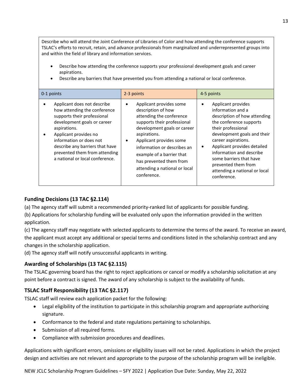Describe who will attend the Joint Conference of Libraries of Color and how attending the conference supports TSLAC's efforts to recruit, retain, and advance professionals from marginalized and underrepresented groups into and within the field of library and information services.

- Describe how attending the conference supports your professional development goals and career aspirations.
- Describe any barriers that have prevented you from attending a national or local conference.

| 0-1 points                                                                                                                                                                                                                                                                                           | 2-3 points                                                                                                                                                                                                                                                                                                                | 4-5 points                                                                                                                                                                                                                                                                                                                                       |
|------------------------------------------------------------------------------------------------------------------------------------------------------------------------------------------------------------------------------------------------------------------------------------------------------|---------------------------------------------------------------------------------------------------------------------------------------------------------------------------------------------------------------------------------------------------------------------------------------------------------------------------|--------------------------------------------------------------------------------------------------------------------------------------------------------------------------------------------------------------------------------------------------------------------------------------------------------------------------------------------------|
| Applicant does not describe<br>how attending the conference<br>supports their professional<br>development goals or career<br>aspirations.<br>Applicant provides no<br>information or does not<br>describe any barriers that have<br>prevented them from attending<br>a national or local conference. | Applicant provides some<br>description of how<br>attending the conference<br>supports their professional<br>development goals or career<br>aspirations.<br>Applicant provides some<br>information or describes an<br>example of a barrier that<br>has prevented them from<br>attending a national or local<br>conference. | Applicant provides<br>information and a<br>description of how attending<br>the conference supports<br>their professional<br>development goals and their<br>career aspirations.<br>Applicant provides detailed<br>٠<br>information and describe<br>some barriers that have<br>prevented them from<br>attending a national or local<br>conference. |

## **Funding Decisions (13 TAC §2.114)**

(a) The agency staff will submit a recommended priority-ranked list of applicants for possible funding.

(b) Applications for scholarship funding will be evaluated only upon the information provided in the written application.

(c) The agency staff may negotiate with selected applicants to determine the terms of the award. To receive an award, the applicant must accept any additional or special terms and conditions listed in the scholarship contract and any changes in the scholarship application.

(d) The agency staff will notify unsuccessful applicants in writing.

## **Awarding of Scholarships (13 TAC §2.115)**

The TSLAC governing board has the right to reject applications or cancel or modify a scholarship solicitation at any point before a contract is signed. The award of any scholarship is subject to the availability of funds.

## **TSLAC Staff Responsibility (13 TAC §2.117)**

TSLAC staff will review each application packet for the following:

- Legal eligibility of the institution to participate in this scholarship program and appropriate authorizing signature.
- Conformance to the federal and state regulations pertaining to scholarships.
- Submission of all required forms.
- Compliance with submission procedures and deadlines.

Applications with significant errors, omissions or eligibility issues will not be rated. Applications in which the project design and activities are not relevant and appropriate to the purpose of the scholarship program will be ineligible.

NEW JCLC Scholarship Program Guidelines – SFY 2022 | Application Due Date: Sunday, May 22, 2022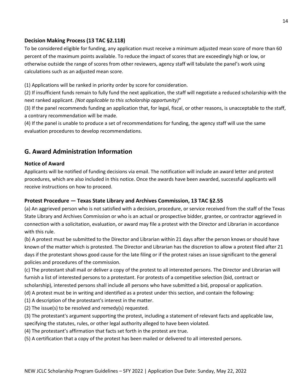## **Decision Making Process (13 TAC §2.118)**

To be considered eligible for funding, any application must receive a minimum adjusted mean score of more than 60 percent of the maximum points available. To reduce the impact of scores that are exceedingly high or low, or otherwise outside the range of scores from other reviewers, agency staff will tabulate the panel's work using calculations such as an adjusted mean score.

(1) Applications will be ranked in priority order by score for consideration.

(2) If insufficient funds remain to fully fund the next application, the staff will negotiate a reduced scholarship with the next ranked applicant. *(Not applicable to this scholarship opportunity)*"

(3) If the panel recommends funding an application that, for legal, fiscal, or other reasons, is unacceptable to the staff, a contrary recommendation will be made.

(4) If the panel is unable to produce a set of recommendations for funding, the agency staff will use the same evaluation procedures to develop recommendations.

# <span id="page-13-0"></span>**G. Award Administration Information**

#### **Notice of Award**

Applicants will be notified of funding decisions via email. The notification will include an award letter and protest procedures, which are also included in this notice. Once the awards have been awarded, successful applicants will receive instructions on how to proceed.

## **Protest Procedure — Texas State Library and Archives Commission, 13 TAC §2.55**

(a) An aggrieved person who is not satisfied with a decision, procedure, or service received from the staff of the Texas State Library and Archives Commission or who is an actual or prospective bidder, grantee, or contractor aggrieved in connection with a solicitation, evaluation, or award may file a protest with the Director and Librarian in accordance with this rule.

(b) A protest must be submitted to the Director and Librarian within 21 days after the person knows or should have known of the matter which is protested. The Director and Librarian has the discretion to allow a protest filed after 21 days if the protestant shows good cause for the late filing or if the protest raises an issue significant to the general policies and procedures of the commission.

(c) The protestant shall mail or deliver a copy of the protest to all interested persons. The Director and Librarian will furnish a list of interested persons to a protestant. For protests of a competitive selection (bid, contract or scholarship), interested persons shall include all persons who have submitted a bid, proposal or application.

(d) A protest must be in writing and identified as a protest under this section, and contain the following:

(1) A description of the protestant's interest in the matter.

(2) The issue(s) to be resolved and remedy(s) requested.

(3) The protestant's argument supporting the protest, including a statement of relevant facts and applicable law, specifying the statutes, rules, or other legal authority alleged to have been violated.

(4) The protestant's affirmation that facts set forth in the protest are true.

(5) A certification that a copy of the protest has been mailed or delivered to all interested persons.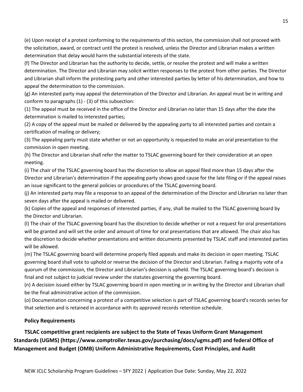(e) Upon receipt of a protest conforming to the requirements of this section, the commission shall not proceed with the solicitation, award, or contract until the protest is resolved, unless the Director and Librarian makes a written determination that delay would harm the substantial interests of the state.

(f) The Director and Librarian has the authority to decide, settle, or resolve the protest and will make a written determination. The Director and Librarian may solicit written responses to the protest from other parties. The Director and Librarian shall inform the protesting party and other interested parties by letter of his determination, and how to appeal the determination to the commission.

(g) An interested party may appeal the determination of the Director and Librarian. An appeal must be in writing and conform to paragraphs (1) - (3) of this subsection:

(1) The appeal must be received in the office of the Director and Librarian no later than 15 days after the date the determination is mailed to interested parties;

(2) A copy of the appeal must be mailed or delivered by the appealing party to all interested parties and contain a certification of mailing or delivery;

(3) The appealing party must state whether or not an opportunity is requested to make an oral presentation to the commission in open meeting.

(h) The Director and Librarian shall refer the matter to TSLAC governing board for their consideration at an open meeting.

(i) The chair of the TSLAC governing board has the discretion to allow an appeal filed more than 15 days after the Director and Librarian's determination if the appealing party shows good cause for the late filing or if the appeal raises an issue significant to the general policies or procedures of the TSLAC governing board.

(j) An interested party may file a response to an appeal of the determination of the Director and Librarian no later than seven days after the appeal is mailed or delivered.

(k) Copies of the appeal and responses of interested parties, if any, shall be mailed to the TSLAC governing board by the Director and Librarian.

(l) The chair of the TSLAC governing board has the discretion to decide whether or not a request for oral presentations will be granted and will set the order and amount of time for oral presentations that are allowed. The chair also has the discretion to decide whether presentations and written documents presented by TSLAC staff and interested parties will be allowed.

(m) The TSLAC governing board will determine properly filed appeals and make its decision in open meeting. TSLAC governing board shall vote to uphold or reverse the decision of the Director and Librarian. Failing a majority vote of a quorum of the commission, the Director and Librarian's decision is upheld. The TSLAC governing board's decision is final and not subject to judicial review under the statutes governing the governing board.

(n) A decision issued either by TSLAC governing board in open meeting or in writing by the Director and Librarian shall be the final administrative action of the commission.

(o) Documentation concerning a protest of a competitive selection is part of TSLAC governing board's records series for that selection and is retained in accordance with its approved records retention schedule.

## **Policy Requirements**

# **TSLAC competitive grant recipients are subject to the State of Texas Uniform Grant Management Standards (UGMS) (https://www.comptroller.texas.gov/purchasing/docs/ugms.pdf) and federal Office of Management and Budget (OMB) Uniform Administrative Requirements, Cost Principles, and Audit**